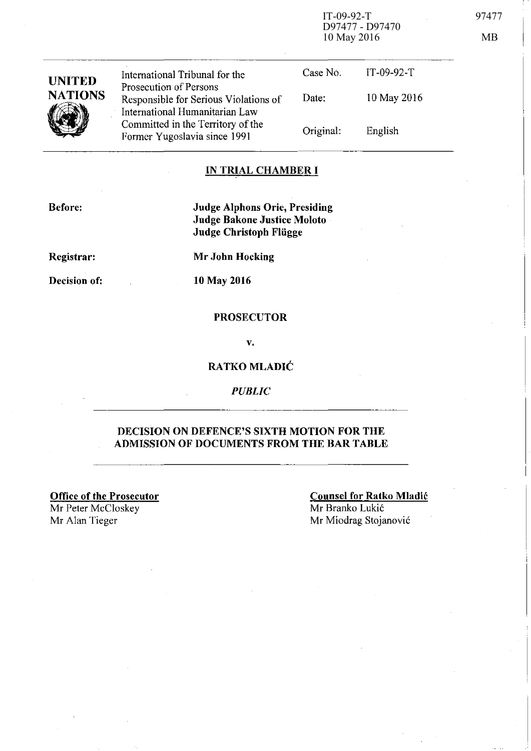IT-09-92-T 97477 D97477 - D97470 10 May 2016 MB

| <b>UNITED</b><br><b>NATIONS</b> | International Tribunal for the<br>Prosecution of Persons<br>Responsible for Serious Violations of<br>International Humanitarian Law<br>Committed in the Territory of the<br>Former Yugoslavia since 1991 | Case No.  | $IT-09-92-T$ |
|---------------------------------|----------------------------------------------------------------------------------------------------------------------------------------------------------------------------------------------------------|-----------|--------------|
|                                 |                                                                                                                                                                                                          | Date:     | 10 May 2016  |
|                                 |                                                                                                                                                                                                          | Original: | English      |
|                                 |                                                                                                                                                                                                          |           |              |

### IN TRIAL CHAMBER **I**

Before:

Judge Alphons Orie, Presiding Judge Bakone Justice Moloto Judge Christoph Fliigge

Registrar:

Mr John Hocking

Decision of:

10 May 2016

### PROSECUTOR

v.

### RATKO MLADlC

*PUBLIC* 

### DECISION ON DEFENCE'S SIXTH MOTION FOR THE ADMISSION OF DOCUMENTS FROM THE BAR TABLE

Office of the Prosecutor

Mr Peter McCloskey<br>Mr Alan Tieger

### Counsel for Ratko Mladic Mr Branko Lukić

Mr Miodrag Stojanović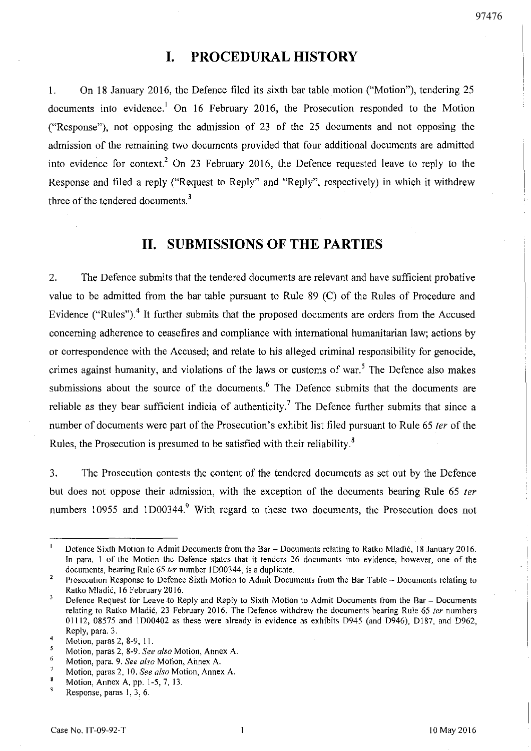### **I. PROCEDURAL HISTORY**

I. On 18 January 2016, the Defence filed its sixth bar table motion ("Motion"), tendering 25 documents into evidence.<sup>1</sup> On 16 February 2016, the Prosecution responded to the Motion ("Response"), not opposing the admission of 23 of the 25 documents and not opposing the admission of the remaining two documents provided that four additional documents are admitted into evidence for context.<sup>2</sup> On 23 February 2016, the Defence requested leave to reply to the Response and filed a reply ("Request to Reply" and "Reply", respectively) in which it withdrew three of the tendered documents.<sup>3</sup>

## **11. SUBMISSIONS OF THE PARTIES**

2. The Defence submits that the tendered documents are relevant and have sufficient probative value to be admitted from the bar table pursuant to Rule 89 (C) of the Rules of Procedure and Evidence ("Rules").<sup>4</sup> It further submits that the proposed documents are orders from the Accused concerning adherence to ceasefires and compliance with international humanitarian law; actions by or correspondence with the Accused; and relate to his alleged criminal responsibility for genocide, crimes against humanity, and violations of the laws or customs of war.<sup>5</sup> The Defence also makes submissions about the source of the documents.<sup>6</sup> The Defence submits that the documents are reliable as they bear sufficient indicia of authenticity.<sup>7</sup> The Defence further submits that since a number of documents were part of the Prosecution's exhibit list filed pursuant to Rule 65 ter of the Rules, the Prosecution is presumed to be satisfied with their reliability.<sup>8</sup>

3. The Prosecution contests the content of the tendered documents as set out by the Defence but does not oppose their admission, with the exception of the documents bearing Rule 65 ter numbers 10955 and 1D00344.<sup>9</sup> With regard to these two documents, the Prosecution does not

Defence Sixth Motion to Admit Documents from the Bar - Documents relating to Ratko Mladić, 18 January 2016. In para. I of the Motion the Defence states that it tenders 26 documents into evidence, however, one of the documents, bearing Rule 65 ter number 1D00344, is a duplicate.

 $\overline{\mathbf{c}}$ Prosecution Response to Defence Sixth Motion to Admit Documents from the Bar Table - Documents relating to Ratko Mladic, 16 February 2016.

<sup>3</sup> Defence Request for Leave to Reply and Reply to Sixth Motion to Admit Documents from the Bar - Documents relating to Ratko Mladić, 23 February 2016. The Defence withdrew the documents bearing Rule 65 ter numbers 01112, 08575 and 1000402 as these were already in evidence as exhibits 0945 (and 0946), 0187, and 0962, Reply, para. 3.

 $\overline{4}$ Motion, paras 2, 8-9, 11.

<sup>5</sup>  Motion, paras 2, 8-9. *See also* Motion, Annex A.

<sup>6</sup>  Motion, para. 9. *See also* Motion, Annex A.

 $\overline{7}$ **Motion, paras 2, 10.** *See also* **Motion, Annex A.** 

 $\bf 8$ Motion, Annex A, pp. 1-5,7,13.

<sup>9</sup>  Response, paras I, 3, 6.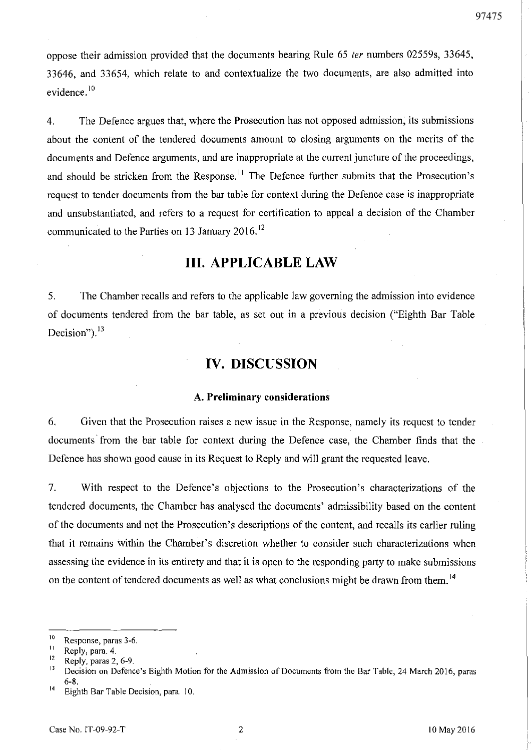oppose their admission provided that the documents bearing Rule 65 ter numbers 02559s, 33645, 33646, and 33654, which relate to and contextualize the two documents, are also admitted into evidence.<sup>10</sup>

4. The Defence argues that, where the Prosecution has not opposed admission; its submissions about the content of the tendered documents amount to closing arguments on the merits of the documents and Defence arguments, and are inappropriate at the current juncture of the proceedings, and should be stricken from the Response.<sup>11</sup> The Defence further submits that the Prosecution's request to tender documents from the bar table for context during the Defence case is inappropriate and unsubstantiated, and refers to a request for certification to appeal a decision of the Chamber communicated to the Parties on 13 January 2016.<sup>12</sup>

### **Ill. APPLICABLE LAW**

5. The Chamber recalls and refers to the applicable law governing the admission into evidence of documents tendered from the bar table, as set out in a previous decision ("Eighth Bar Table Decision").<sup>13</sup>

## **IV. DISCUSSION**

#### A. **Preliminary considerations**

6. Given that the Prosecution raises a new issue **in** the Response, namely its request to tender documents' from the bar table for context during the Defence case, the Chamber finds that the Defence has shown good cause in its Request to Reply and will grant the requested leave.

7. With respect to the Defence's objections to the Prosecution's characterizations of the tendered documents, the Chamber has analysed the documents' admissibility based **on** the content of the documents and not the Prosecution's descriptions of the content, and recalls its earlier ruling that it remains within the Chamber's discretion whether to consider such characterizations when assessing the evidence in its entirety and that it is open to the responding party to make submissions on the content of tendered documents as well as what conclusions might be drawn from them.<sup>14</sup>

<sup>&</sup>lt;sup>10</sup> Response, paras 3-6.<br><sup>11</sup> Reply para 4

 $\frac{11}{12}$  Reply, para. 4.

 $\frac{12}{13}$  Reply, paras 2, 6-9.

<sup>13</sup> Decision on Defence's Eighth Motion for the Admission of Documents from the Bar Table, 24 March 2016, paras 6-8.

<sup>14</sup> Eighth Bar Table Decision, para. 10.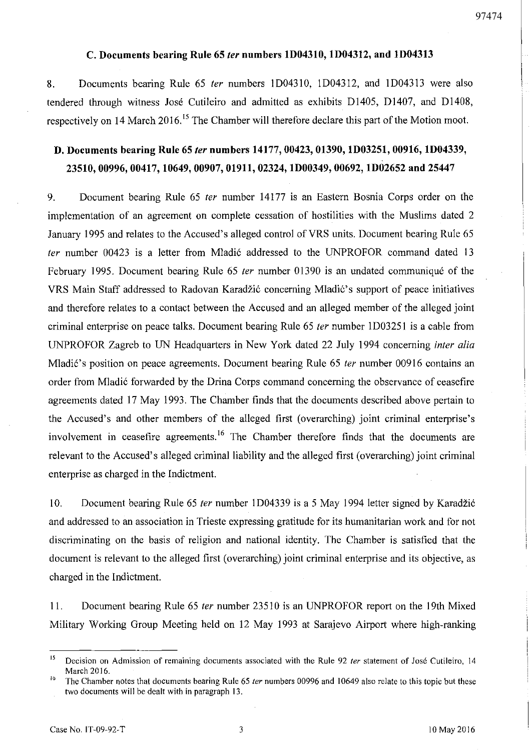### C. Documents bearing Rule 65 *ter* numbers ID0431O, ID04312, and ID04313

S. Documents bearing Rule 65 fer numbers ID04310, ID04312, and ID04313 were also tendered through witness Jose Cutileiro and admitted as exhibits D1405, 01407, and D140S, respectively on 14 March 2016.<sup>15</sup> The Chamber will therefore declare this part of the Motion moot.

# D. Documents bearing Rule 65 *ter* numbers 14177, 00423, 01390, ID03251, 00916, ID04339, 23510,00996,00417,10649,00907,01911,02324, lD00349, 00692, lD02652 and 25447

9. Document bearing Rule 65 fer number 14177 is an Eastern Bosnia Corps order on the implementation of an agreement on complete cessation of hostilities with the Muslims dated 2 January 1995 and relates to the Accused's alleged control of VRS units. Document bearing Rule 65 ter number 00423 is a letter from Mladić addressed to the UNPROFOR command dated 13 February 1995. Document bearing Rule 65 fer number 01390 is an undated communique of the VRS Main Staff addressed to Radovan Karadžić concerning Mladić's support of peace initiatives and therefore relates to a contact between the Accused and an alleged member of the alleged joint criminal enterprise on peace talks. Document bearing Rule 65 *ter* number 1D03251 is a cable from UNPROFOR Zagreb to UN Headquarters in New York dated 22 July 1994 concerning infer alia Mladić's position on peace agreements. Document bearing Rule 65 ter number 00916 contains an order from Mladić forwarded by the Drina Corps command concerning the observance of ceasefire agreements dated 17 May 1993. The Chamber finds that the documents described above pertain to the Accused's and other members of the alleged first (overarching) joint criminal enterprise's involvement in ceasefire agreements.<sup>16</sup> The Chamber therefore finds that the documents are relevant to the Accused's alleged criminal liability and the alleged first (overarching) joint criminal enterprise as charged in the Indictment.

10. Document bearing Rule 65 fer number ID04339 is a 5 May 1994 letter signed by Karadzi6 and addressed to an association in Trieste expressing gratitude for its humanitarian work and for not discriminating on the basis of religion and national identity. The Chamber is satisfied that the document is relevant to the alleged first (overarching) joint criminal enterprise and its objective, as charged in the Indictment.

11. Document bearing Rule 65 *ter* number 23510 is an UNPROFOR report on the 19th Mixed Military Working Group Meeting held on 12 May 1993 at Sarajevo Airport where high-ranking

<sup>&</sup>lt;sup>15</sup> Decision on Admission of remaining documents associated with the Rule 92 ter statement of José Cutileiro, 14 March 2016.

<sup>&</sup>lt;sup>16</sup> The Chamber notes that documents bearing Rule 65 *ter* numbers 00996 and 10649 also relate to this topic but these two documents will be dealt with in paragraph 13.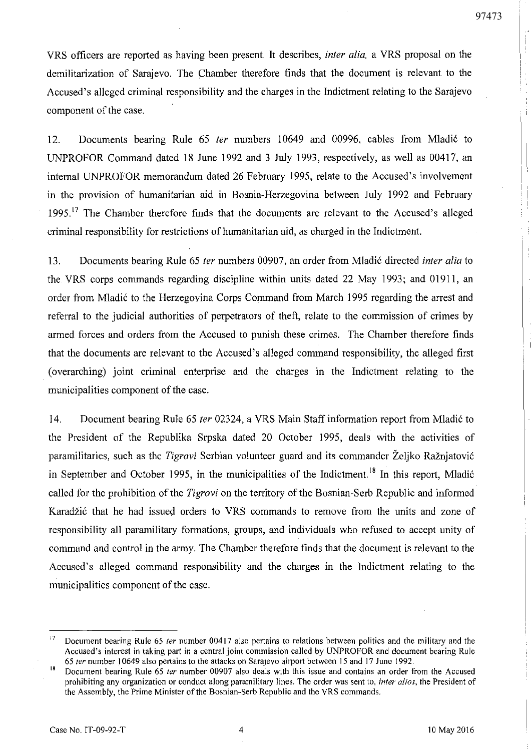VRS officers are reported as having been present. It describes, *inter alia,* a VRS proposal on the demilitarization of Sarajevo. The Chamber therefore finds that the document is relevant to the Accused's alleged criminal responsibility and the charges in the Indictment relating to the Sarajevo component of the case.

12. Documents bearing Rule 65 *ter* numbers *10649* and *00996,* cables from Mladi6 to UNPROFOR Command dated 18 June 1992 and 3 July 1993, respectively, as well as *00417,* an internal UNPROFOR memorandum dated 26 February 1995, relate to the Accused's involvement in the provision of humanitarian aid in Bosnia-Herzegovina between July 1992 and February  $1995$ .<sup>17</sup> The Chamber therefore finds that the documents are relevant to the Accused's alleged criminal responsibility for restrictions of humanitarian aid, as charged in the Indictment.

13. Documents bearing Rule 65 *ter* numbers *00907,* an order from Mladi6 directed *inter alia* to the VRS corps commands regarding discipline within units dated 22 May 1993; and *01911,* an order from Mladić to the Herzegovina Corps Command from March 1995 regarding the arrest and referral to the judicial authorities of perpetrators of theft, relate to the commission of crimes by armed forces and orders from the Accused to punish these crimes. The Chamber therefore finds that the documents are relevant to the Accused's alleged command responsibility, the alleged first (overarching) joint criminal enterprise and the charges in the Indictment relating to the municipalities component of the case.

14. Document bearing Rule 65 *ter* 02324, a VRS Main Staff information report from Mladić to the President of the Republika Srpska dated 20 October 1995, deals with the activities of paramilitaries, such as the *Tigrovi* Serbian volunteer guard and its commander Željko Ražnjatović in September and October 1995, in the municipalities of the Indictment.<sup>18</sup> In this report, Mladić called for the prohibition of the *Tigrovi* on the territory of the Bosnian-Serb Republic and informed Karadžić that he had issued orders to VRS commands to remove from the units and zone of responsibility all paramilitary formations, groups, and individuals who refused to accept unity of command and control in the army. The Chamber therefore finds that the document is relevant to the Accused's alleged command responsibility and the charges in the Indictment relating to the municipalities component of the case.

<sup>&</sup>lt;sup>17</sup> Document bearing Rule 65 *ter* number 00417 also pertains to relations between politics and the military and the Accused's interest in taking part in a central joint commission called by UNPROFOR and document bearing Rule *65 ter* number 10649 also pertains to the attacks on Sarajeyo airport between IS and 17 June 1992.

<sup>&</sup>lt;sup>18</sup> Document bearing Rule 65 *ter* number 00907 also deals with this issue and contains an order from the Accused prohibiting any organization or conduct along paramilitary lines. The order was sent to, *inter alios,* the President of the Assembly, the Prime Minister of the Bosnian-Serb Republic and the VRS commands.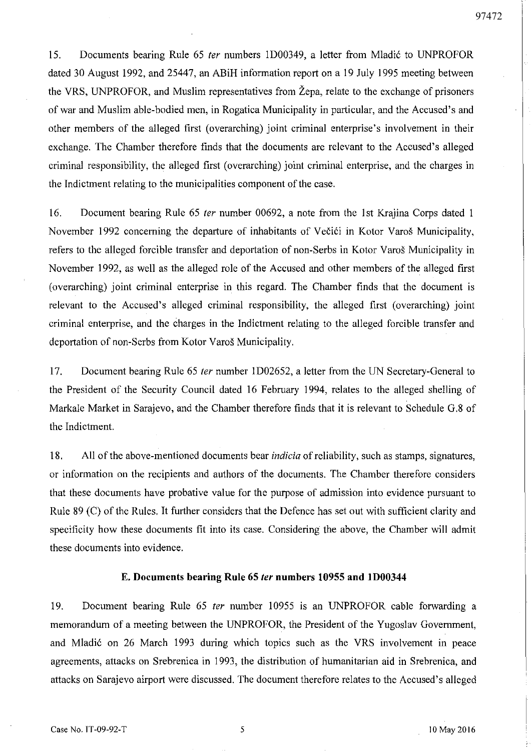15. Documents bearing Rule 65 *ter* numbers 1D00349, a letter from Mladić to UNPROFOR dated 30 August 1992, and 25447, an ABiH information report on a 19 July 1995 meeting between the YRS, UNPROFOR, and Muslim representatives from Zepa, relate to the exchange of prisoners of war and Muslim able-bodied men, in Rogatica Municipality in particular, and the Accused's and other members of the alleged first (overarching) joint criminal enterprise's involvement in their exchange. The Chamber therefore finds that the documents are relevant to the Accused's alleged criminal responsibility, the alleged first (overarching) joint criminal enterprise, and the charges in the Indictment relating to the municipalities component of the case.

16. Document bearing Rule 65 ter number 00692, a note from the 1st Krajina Corps dated 1 November 1992 concerning the departure of inhabitants of Večići in Kotor Varoš Municipality, refers to the alleged forcible transfer and deportation of non-Serbs in Kotor Yaros Municipality in November 1992, as well as the alleged role of the Accused and other members of the alleged first (overarching) joint criminal enterprise in this regard. The Chamber finds that the document is relevant to the Accused's alleged criminal responsibility, the alleged first (overarching) joint criminal enterprise, and the charges in the Indictment relating to the alleged forcible transfer and deportation of non-Serbs from Kotor Yaros Municipality.

17. Document bearing Rule 65 ter number 1D02652, a letter from the UN Secretary-General to the President of the Security Council dated 16 February 1994, relates to the alleged shelling of Markale Market in Sarajevo, and the Chamber therefore finds that it is relevant to Schedule G.8 of the Indictment.

18. All of the above-mentioned documents bear *indicia* of reliability, such as stamps, signatures, or information on the recipients and authors of the documents. The Chamber therefore considers that these documents have probative value for the purpose of admission into evidence pursuant to Rule 89 (C) of the Rules. It further considers that the Defence has set out with sufficient clarity and specificity how these documents fit into its case. Considering the above, the Chamber will admit these documents into evidence.

#### **E. Documents bearing Rule 65** ler **numbers 10955 and 1D00344**

19. Document bearing Rule 65 fer number 10955 is an UNPROFOR cable forwarding a memorandum of a meeting between the UNPROFOR, the President of the Yugoslav Government, and Mladić on 26 March 1993 during which topics such as the VRS involvement in peace agreements, attacks on Srebrenica in 1993, the distribution of humanitarian aid in Srebrenica, and attacks on Sarajevo airport were discussed. The document therefore relates to the Accused's alleged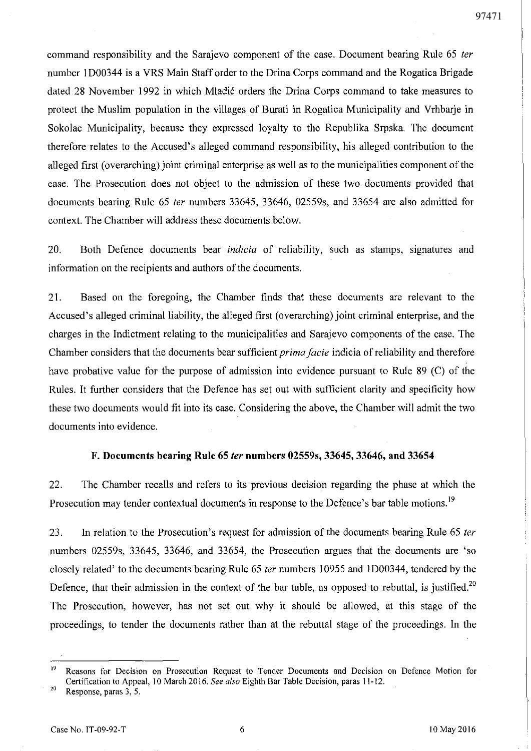command responsibility and the Sarajevo component of the case. Document bearing Rule 65 fer number I D00344 is a VRS Main Staff order to the Drina Corps command and the Rogatica Brigade dated 28 November 1992 in which Mladić orders the Drina Corps command to take measures to protect the Muslim population in the villages of Burati in Rogatica Municipality and Vrhbarje in Sokolac Municipality, because they expressed loyalty to the Republika Srpska. The document therefore relates to the Accused's alleged command responsibility, his alleged contribution to the alleged first (overarching) joint criminal enterprise as well as to the municipalities component of the case. The Prosecution does not object to the admission of these two documents provided that documents bearing Rule 65 *ter* numbers 33645, 33646, 02559s, and 33654 are also admitted for context. The Chamber will address these documents below.

20. Both Defence documents bear *indicia* of reliability, such as stamps, signatures and information on the recipients and authors of the documents.

21. Based on the foregoing, the Chamber finds that these documents are relevant to the Accused's alleged criminal liability, the alleged first (overarching) joint criminal enterprise, and the charges in the Indictment relating to the municipalities and Sarajevo components of the case. The Chamber considers that the documents bear sufficient *prima facie* indicia of reliability and therefore have probative value for the purpose of admission into evidence pursuant to Rule 89 (C) of the Rules. It further considers that the Defence has set out with sufficient clarity and specificity how these two documents would fit into its case. Considering the above, the Chamber will admit the two documents into evidence.

#### F. Documents bearing Rule 65 fer numbers 02559s, 33645, 33646, and 33654

22. The Chamber recalls and refers to its previous decision regarding the phase at which the Prosecution may tender contextual documents in response to the Defence's bar table motions.<sup>19</sup>

23. In relation to the Prosecution's request for admission of the documents bearing Rule 65 ter numbers 02559s, 33645, 33646, and 33654, the Prosecution argues that the documents are 'so closely related' to the documents bearing Rule 65 fer numbers 10955 and lD00344, tendered by the Defence, that their admission in the context of the bar table, as opposed to rebuttal, is justified.<sup>20</sup> The Prosecution, however, has not set out why it should be allowed, at this stage of the proceedings, to tender the documents rather than at the rebuttal stage of the proceedings. In the

<sup>20</sup> Response, paras  $3, 5$ .

<sup>&</sup>lt;sup>19</sup> Reasons for Decision on Prosecution Request to Tender Documents and Decision on Defence Motion for Certification to Appeal, 10 March 2016. *See also* Eighth Sar Table Decision, paras 11-12.